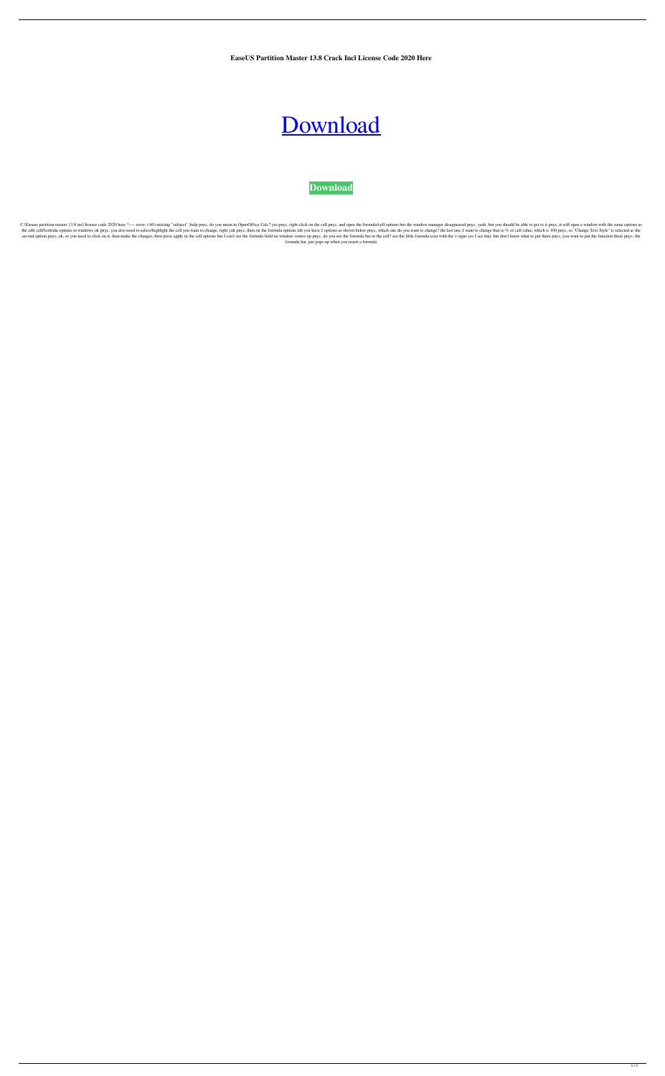**EaseUS Partition Master 13.8 Crack Incl License Code 2020 Here**

## [Download](http://evacdir.com/RWFzZVVTIFBhcnRpdGlvbiBNYXN0ZXIgMTMuOCBDcmFjayBpbmNsIExpY2Vuc2UgQ29kZSAyMDIwIEhlcmURWF/boisterous/candidate.corpses/ZG93bmxvYWR8elcwTVdrM05IeDhNVFkxTWpRMk16QTFNSHg4TWpVM05IeDhLRTBwSUhKbFlXUXRZbXh2WnlCYlJtRnpkQ0JIUlU1ZA/singly/neechabhaga=thechinaperspective)

**[Download](http://evacdir.com/RWFzZVVTIFBhcnRpdGlvbiBNYXN0ZXIgMTMuOCBDcmFjayBpbmNsIExpY2Vuc2UgQ29kZSAyMDIwIEhlcmURWF/boisterous/candidate.corpses/ZG93bmxvYWR8elcwTVdrM05IeDhNVFkxTWpRMk16QTFNSHg4TWpVM05IeDhLRTBwSUhKbFlXUXRZbXh2WnlCYlJtRnpkQ0JIUlU1ZA/singly/neechabhaga=thechinaperspective)**

C:\Easeus partition master 13.8 incl license code 2020 here ^---- error: (:60) missing "subject" :help pnyc, do you mean in OpenOffice Calc? yes pnyc, and open the formula/cell options but the window manager disappeared pn the edit cell/formula options in windows ok pnyc, you also need to select/highlight the cell you want to change, right yah pnyc, then on the formula options as shown below pnyc, which one do you want to change? the last on second option pnyc, ok, so you need to click on it, then make the changes, then press apply in the cell options but I can't see the formula field no window comes up pnyc, do you see the formula bar in the cell? see the lit formula bar just pops up when you insert a formula